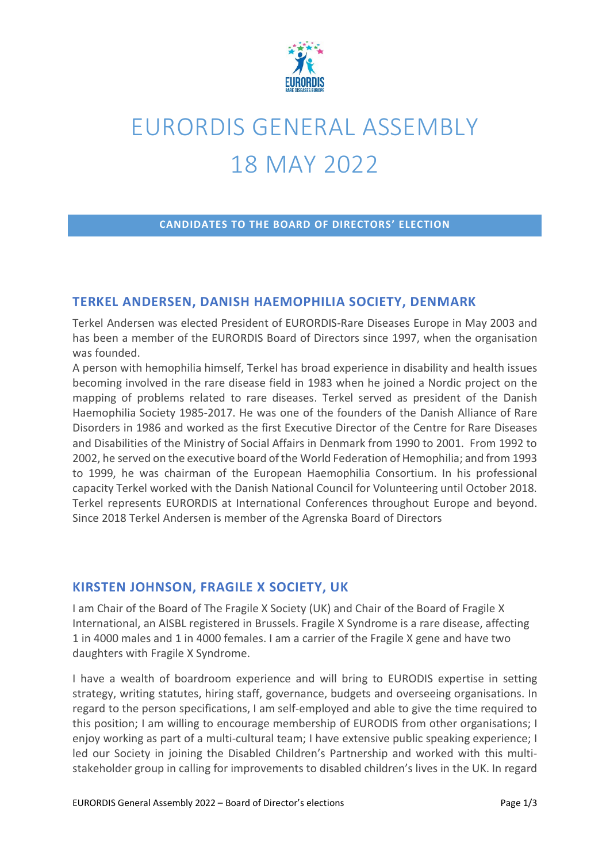

# EURORDIS GENERAL ASSEMBLY 18 MAY 2022

#### **CANDIDATES TO THE BOARD OF DIRECTORS' ELECTION**

#### **TERKEL ANDERSEN, DANISH HAEMOPHILIA SOCIETY, DENMARK**

Terkel Andersen was elected President of EURORDIS-Rare Diseases Europe in May 2003 and has been a member of the EURORDIS Board of Directors since 1997, when the organisation was founded.

A person with hemophilia himself, Terkel has broad experience in disability and health issues becoming involved in the rare disease field in 1983 when he joined a Nordic project on the mapping of problems related to rare diseases. Terkel served as president of the Danish Haemophilia Society 1985-2017. He was one of the founders of the Danish Alliance of Rare Disorders in 1986 and worked as the first Executive Director of the Centre for Rare Diseases and Disabilities of the Ministry of Social Affairs in Denmark from 1990 to 2001. From 1992 to 2002, he served on the executive board of the World Federation of Hemophilia; and from 1993 to 1999, he was chairman of the European Haemophilia Consortium. In his professional capacity Terkel worked with the Danish National Council for Volunteering until October 2018. Terkel represents EURORDIS at International Conferences throughout Europe and beyond. Since 2018 Terkel Andersen is member of the Agrenska Board of Directors

#### **KIRSTEN JOHNSON, FRAGILE X SOCIETY, UK**

I am Chair of the Board of The Fragile X Society (UK) and Chair of the Board of Fragile X International, an AISBL registered in Brussels. Fragile X Syndrome is a rare disease, affecting 1 in 4000 males and 1 in 4000 females. I am a carrier of the Fragile X gene and have two daughters with Fragile X Syndrome.

I have a wealth of boardroom experience and will bring to EURODIS expertise in setting strategy, writing statutes, hiring staff, governance, budgets and overseeing organisations. In regard to the person specifications, I am self-employed and able to give the time required to this position; I am willing to encourage membership of EURODIS from other organisations; I enjoy working as part of a multi-cultural team; I have extensive public speaking experience; I led our Society in joining the Disabled Children's Partnership and worked with this multistakeholder group in calling for improvements to disabled children's lives in the UK. In regard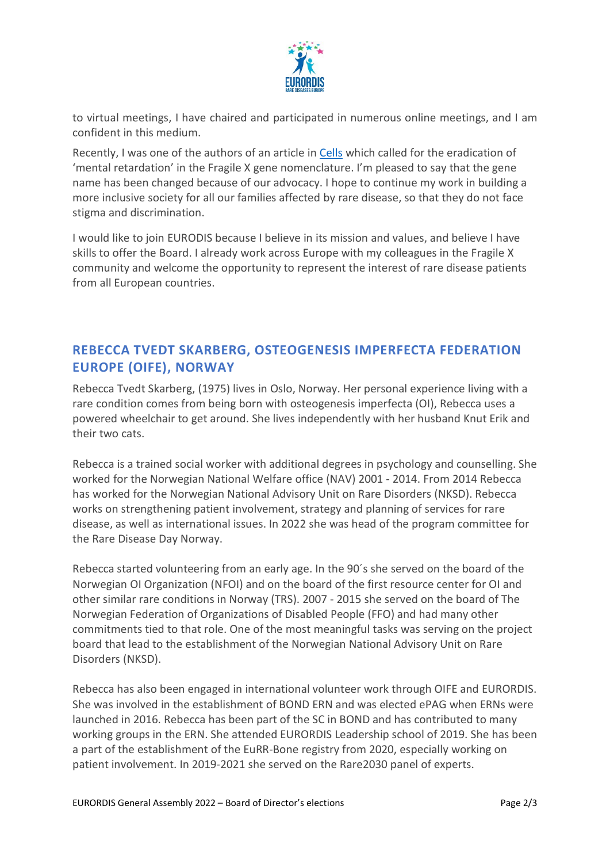

to virtual meetings, I have chaired and participated in numerous online meetings, and I am confident in this medium.

Recently, I was one of the authors of an article in [Cells](https://www.mdpi.com/2073-4409/11/6/1044/htm) which called for the eradication of 'mental retardation' in the Fragile X gene nomenclature. I'm pleased to say that the gene name has been changed because of our advocacy. I hope to continue my work in building a more inclusive society for all our families affected by rare disease, so that they do not face stigma and discrimination.

I would like to join EURODIS because I believe in its mission and values, and believe I have skills to offer the Board. I already work across Europe with my colleagues in the Fragile X community and welcome the opportunity to represent the interest of rare disease patients from all European countries.

## **REBECCA TVEDT SKARBERG, OSTEOGENESIS IMPERFECTA FEDERATION EUROPE (OIFE), NORWAY**

Rebecca Tvedt Skarberg, (1975) lives in Oslo, Norway. Her personal experience living with a rare condition comes from being born with osteogenesis imperfecta (OI), Rebecca uses a powered wheelchair to get around. She lives independently with her husband Knut Erik and their two cats.

Rebecca is a trained social worker with additional degrees in psychology and counselling. She worked for the Norwegian National Welfare office (NAV) 2001 - 2014. From 2014 Rebecca has worked for the Norwegian National Advisory Unit on Rare Disorders (NKSD). Rebecca works on strengthening patient involvement, strategy and planning of services for rare disease, as well as international issues. In 2022 she was head of the program committee for the Rare Disease Day Norway.

Rebecca started volunteering from an early age. In the 90´s she served on the board of the Norwegian OI Organization (NFOI) and on the board of the first resource center for OI and other similar rare conditions in Norway (TRS). 2007 - 2015 she served on the board of The Norwegian Federation of Organizations of Disabled People (FFO) and had many other commitments tied to that role. One of the most meaningful tasks was serving on the project board that lead to the establishment of the Norwegian National Advisory Unit on Rare Disorders (NKSD).

Rebecca has also been engaged in international volunteer work through OIFE and EURORDIS. She was involved in the establishment of BOND ERN and was elected ePAG when ERNs were launched in 2016. Rebecca has been part of the SC in BOND and has contributed to many working groups in the ERN. She attended EURORDIS Leadership school of 2019. She has been a part of the establishment of the EuRR-Bone registry from 2020, especially working on patient involvement. In 2019-2021 she served on the Rare2030 panel of experts.